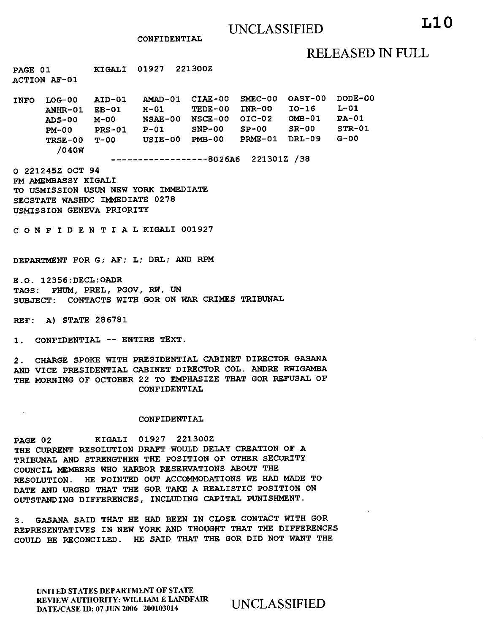### CONFIDENTIAL

# RELEASED IN FULL

PAGE 01 KIGALI 01927 221300Z ACTION AF-01

INFO LOG-00 AID-01 AMAD-01 CIAE-00 SMEC-00 OASY-00 DODE-00 ANHR-01 EB-01 H-01 TEDE-00 INR-00 10-16 L-01 ADS-00 M-00 NSAE-00 NSCE-00 01C-02 OMB-01 PA-01 PM-00 PRS-01 P-01 SNP-00 SP-00 SR-00 STR-01<br>TRSE-00 T-00 USIE-00 PMB-00 PRME-01 DRL-09 G-00 USIE-00 PMB-00 PRME-01 DRL-09 G-00 /040W

----------------8026A6 221301Z /38

O 221245Z OCT 94 FM AMEMBASSY KIGALI TO USMISSION USUN NEW YORK IMMEDIATE SECSTATE WASHDC IMMEDIATE 0278 USMISSION GENEVA PRIORITY

CONFIDENTIALKIGALI 001927

DEPARTMENT FOR G; AF; L; DRL; AND RPM

E.O. 12356:DECL:OADR TAGS: PHUM, PREL, PGOV, RW, UN SUBJECT: CONTACTS WITH GOR ON WAR CRIMES TRIBUNAL

REF: A) STATE 286781

1. CONFIDENTIAL -- ENTIRE TEXT.

2. CHARGE SPOKE WITH PRESIDENTIAL CABINET DIRECTOR GASANA AND VICE PRESIDENTIAL CABINET DIRECTOR COL. ANDRE RWIGAMBA THE MORNING OF OCTOBER 22 TO EMPHASIZE THAT GOR REFUSAL OF CONFIDENTIAL

### CONFIDENTIAL

PAGE 02 KIGALI 01927 221300Z THE CURRENT RESOLUTION DRAFT WOULD DELAY CREATION OF A TRIBUNAL AND STRENGTHEN THE POSITION OF OTHER SECURITY COUNCIL MEMBERS WHO HARBOR RESERVATIONS ABOUT THE RESOLUTION. HE POINTED OUT ACCOMMODATIONS WE HAD MADE TO DATE AND URGED THAT THE GOR TAKE A REALISTIC POSITION ON OUTSTANDING DIFFERENCES, INCLUDING CAPITAL PUNISHMENT.

3. GASANA SAID THAT HE HAD BEEN IN CLOSE CONTACT WITH GOR REPRESENTATIVES IN NEW YORK AND THOUGHT THAT THE DIFFERENCES COULD BE RECONCILED. HE SAID THAT THE GOR DID NOT WANT THE

UNITED STATES DEPARTMENT OF STATE REVIEW AUTHORITY: WILLIAM E LANDFAIR REVIEW AUTHORITY: WILLIAM E LANDFAIR UNCLASSIFIED<br>DATE/CASE ID: 07 JUN 2006 200103014 UNCLASSIFIED